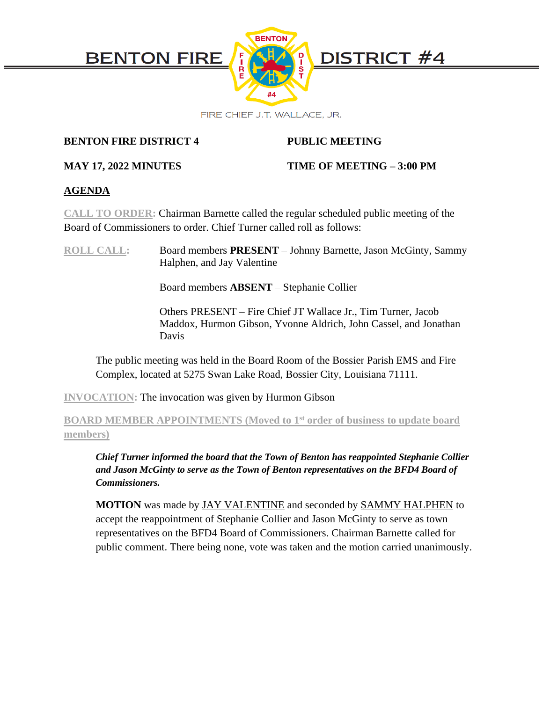

**BENTON FIRE DISTRICT 4 PUBLIC MEETING**

# **MAY 17, 2022 MINUTES TIME OF MEETING – 3:00 PM**

# **AGENDA**

**CALL TO ORDER:** Chairman Barnette called the regular scheduled public meeting of the Board of Commissioners to order. Chief Turner called roll as follows:

**ROLL CALL:** Board members **PRESENT** – Johnny Barnette, Jason McGinty, Sammy Halphen, and Jay Valentine

Board members **ABSENT** – Stephanie Collier

Others PRESENT – Fire Chief JT Wallace Jr., Tim Turner, Jacob Maddox, Hurmon Gibson, Yvonne Aldrich, John Cassel, and Jonathan Davis

The public meeting was held in the Board Room of the Bossier Parish EMS and Fire Complex, located at 5275 Swan Lake Road, Bossier City, Louisiana 71111.

**INVOCATION:** The invocation was given by Hurmon Gibson

**BOARD MEMBER APPOINTMENTS (Moved to 1st order of business to update board members)**

*Chief Turner informed the board that the Town of Benton has reappointed Stephanie Collier and Jason McGinty to serve as the Town of Benton representatives on the BFD4 Board of Commissioners.* 

**MOTION** was made by JAY VALENTINE and seconded by SAMMY HALPHEN to accept the reappointment of Stephanie Collier and Jason McGinty to serve as town representatives on the BFD4 Board of Commissioners. Chairman Barnette called for public comment. There being none, vote was taken and the motion carried unanimously.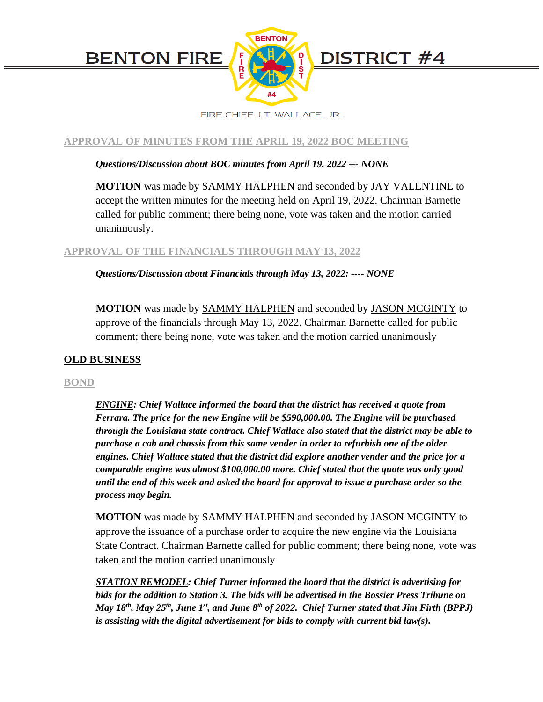

FIRE CHIEF J.T. WALLACE, JR.

# **APPROVAL OF MINUTES FROM THE APRIL 19, 2022 BOC MEETING**

# *Questions/Discussion about BOC minutes from April 19, 2022 --- NONE*

**MOTION** was made by SAMMY HALPHEN and seconded by JAY VALENTINE to accept the written minutes for the meeting held on April 19, 2022. Chairman Barnette called for public comment; there being none, vote was taken and the motion carried unanimously.

# **APPROVAL OF THE FINANCIALS THROUGH MAY 13, 2022**

*Questions/Discussion about Financials through May 13, 2022: ---- NONE*

**MOTION** was made by SAMMY HALPHEN and seconded by JASON MCGINTY to approve of the financials through May 13, 2022. Chairman Barnette called for public comment; there being none, vote was taken and the motion carried unanimously

# **OLD BUSINESS**

### **BOND**

*ENGINE: Chief Wallace informed the board that the district has received a quote from Ferrara. The price for the new Engine will be \$590,000.00. The Engine will be purchased through the Louisiana state contract. Chief Wallace also stated that the district may be able to purchase a cab and chassis from this same vender in order to refurbish one of the older engines. Chief Wallace stated that the district did explore another vender and the price for a comparable engine was almost \$100,000.00 more. Chief stated that the quote was only good until the end of this week and asked the board for approval to issue a purchase order so the process may begin.* 

**MOTION** was made by SAMMY HALPHEN and seconded by JASON MCGINTY to approve the issuance of a purchase order to acquire the new engine via the Louisiana State Contract. Chairman Barnette called for public comment; there being none, vote was taken and the motion carried unanimously

*STATION REMODEL: Chief Turner informed the board that the district is advertising for bids for the addition to Station 3. The bids will be advertised in the Bossier Press Tribune on May 18th, May 25th, June 1st, and June 8th of 2022. Chief Turner stated that Jim Firth (BPPJ) is assisting with the digital advertisement for bids to comply with current bid law(s).*